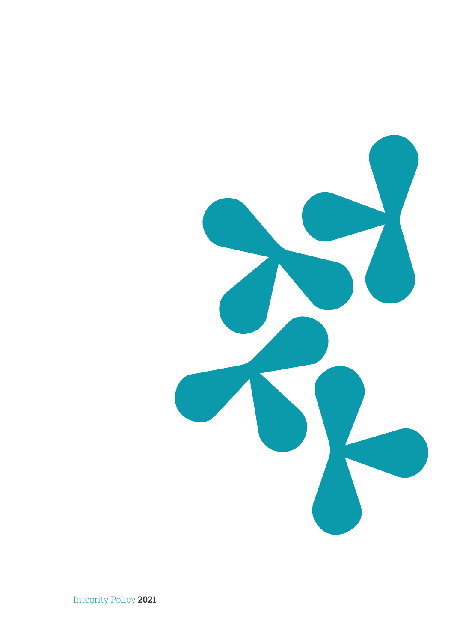

Integrity Policy **2021**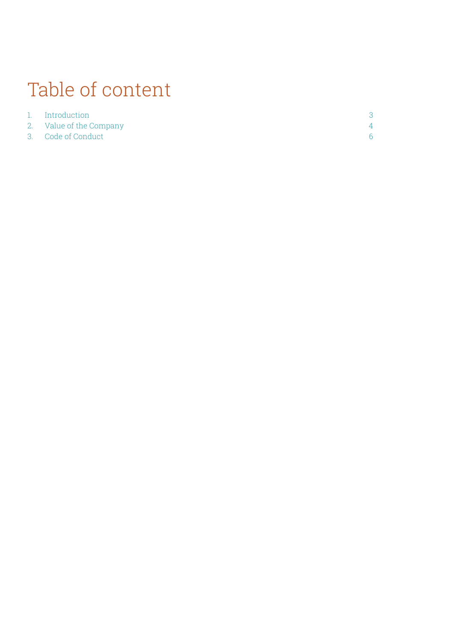# Table of content

| 1. Introduction         |
|-------------------------|
| 2. Value of the Company |
| 3. Code of Conduct      |

3 4 6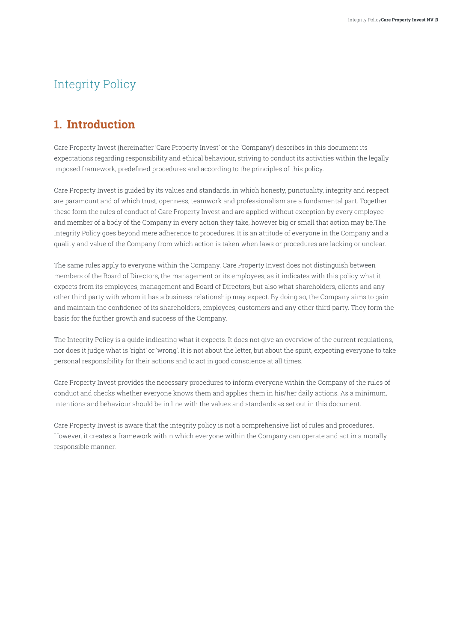# <span id="page-2-0"></span>Integrity Policy

# **1. Introduction**

Care Property Invest (hereinafter 'Care Property Invest' or the 'Company') describes in this document its expectations regarding responsibility and ethical behaviour, striving to conduct its activities within the legally imposed framework, predefined procedures and according to the principles of this policy.

Care Property Invest is guided by its values and standards, in which honesty, punctuality, integrity and respect are paramount and of which trust, openness, teamwork and professionalism are a fundamental part. Together these form the rules of conduct of Care Property Invest and are applied without exception by every employee and member of a body of the Company in every action they take, however big or small that action may be.The Integrity Policy goes beyond mere adherence to procedures. It is an attitude of everyone in the Company and a quality and value of the Company from which action is taken when laws or procedures are lacking or unclear.

The same rules apply to everyone within the Company. Care Property Invest does not distinguish between members of the Board of Directors, the management or its employees, as it indicates with this policy what it expects from its employees, management and Board of Directors, but also what shareholders, clients and any other third party with whom it has a business relationship may expect. By doing so, the Company aims to gain and maintain the confidence of its shareholders, employees, customers and any other third party. They form the basis for the further growth and success of the Company.

The Integrity Policy is a guide indicating what it expects. It does not give an overview of the current regulations, nor does it judge what is 'right' or 'wrong'. It is not about the letter, but about the spirit, expecting everyone to take personal responsibility for their actions and to act in good conscience at all times.

Care Property Invest provides the necessary procedures to inform everyone within the Company of the rules of conduct and checks whether everyone knows them and applies them in his/her daily actions. As a minimum, intentions and behaviour should be in line with the values and standards as set out in this document.

Care Property Invest is aware that the integrity policy is not a comprehensive list of rules and procedures. However, it creates a framework within which everyone within the Company can operate and act in a morally responsible manner.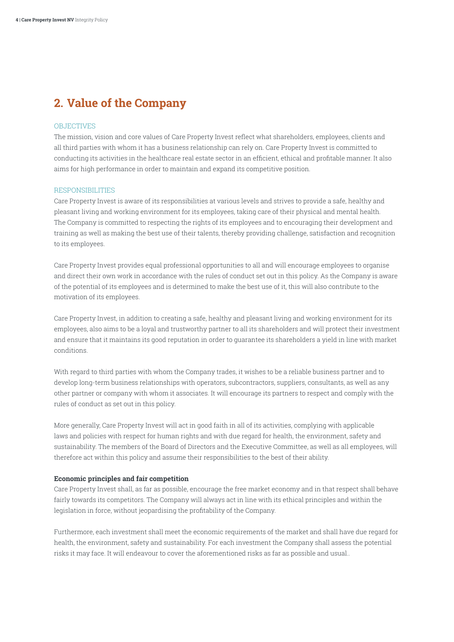# <span id="page-3-0"></span>**2. Value of the Company**

#### OBJECTIVES

The mission, vision and core values of Care Property Invest reflect what shareholders, employees, clients and all third parties with whom it has a business relationship can rely on. Care Property Invest is committed to conducting its activities in the healthcare real estate sector in an efficient, ethical and profitable manner. It also aims for high performance in order to maintain and expand its competitive position.

#### **RESPONSIBILITIES**

Care Property Invest is aware of its responsibilities at various levels and strives to provide a safe, healthy and pleasant living and working environment for its employees, taking care of their physical and mental health. The Company is committed to respecting the rights of its employees and to encouraging their development and training as well as making the best use of their talents, thereby providing challenge, satisfaction and recognition to its employees.

Care Property Invest provides equal professional opportunities to all and will encourage employees to organise and direct their own work in accordance with the rules of conduct set out in this policy. As the Company is aware of the potential of its employees and is determined to make the best use of it, this will also contribute to the motivation of its employees.

Care Property Invest, in addition to creating a safe, healthy and pleasant living and working environment for its employees, also aims to be a loyal and trustworthy partner to all its shareholders and will protect their investment and ensure that it maintains its good reputation in order to guarantee its shareholders a yield in line with market conditions.

With regard to third parties with whom the Company trades, it wishes to be a reliable business partner and to develop long-term business relationships with operators, subcontractors, suppliers, consultants, as well as any other partner or company with whom it associates. It will encourage its partners to respect and comply with the rules of conduct as set out in this policy.

More generally, Care Property Invest will act in good faith in all of its activities, complying with applicable laws and policies with respect for human rights and with due regard for health, the environment, safety and sustainability. The members of the Board of Directors and the Executive Committee, as well as all employees, will therefore act within this policy and assume their responsibilities to the best of their ability.

#### **Economic principles and fair competition**

Care Property Invest shall, as far as possible, encourage the free market economy and in that respect shall behave fairly towards its competitors. The Company will always act in line with its ethical principles and within the legislation in force, without jeopardising the profitability of the Company.

Furthermore, each investment shall meet the economic requirements of the market and shall have due regard for health, the environment, safety and sustainability. For each investment the Company shall assess the potential risks it may face. It will endeavour to cover the aforementioned risks as far as possible and usual..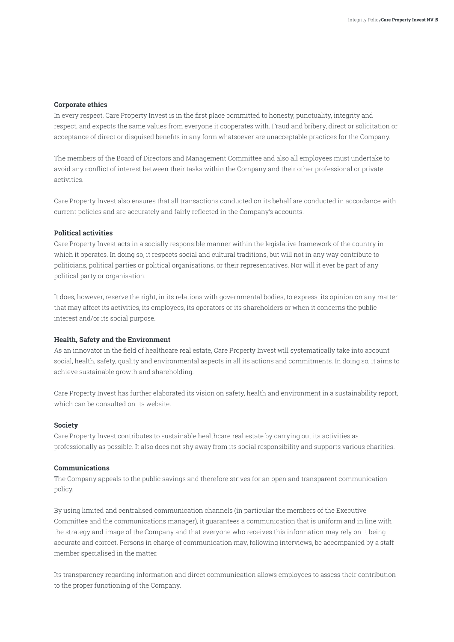### **Corporate ethics**

In every respect, Care Property Invest is in the first place committed to honesty, punctuality, integrity and respect, and expects the same values from everyone it cooperates with. Fraud and bribery, direct or solicitation or acceptance of direct or disguised benefits in any form whatsoever are unacceptable practices for the Company.

The members of the Board of Directors and Management Committee and also all employees must undertake to avoid any conflict of interest between their tasks within the Company and their other professional or private activities.

Care Property Invest also ensures that all transactions conducted on its behalf are conducted in accordance with current policies and are accurately and fairly reflected in the Company's accounts.

### **Political activities**

Care Property Invest acts in a socially responsible manner within the legislative framework of the country in which it operates. In doing so, it respects social and cultural traditions, but will not in any way contribute to politicians, political parties or political organisations, or their representatives. Nor will it ever be part of any political party or organisation.

It does, however, reserve the right, in its relations with governmental bodies, to express its opinion on any matter that may affect its activities, its employees, its operators or its shareholders or when it concerns the public interest and/or its social purpose.

#### **Health, Safety and the Environment**

As an innovator in the field of healthcare real estate, Care Property Invest will systematically take into account social, health, safety, quality and environmental aspects in all its actions and commitments. In doing so, it aims to achieve sustainable growth and shareholding.

Care Property Invest has further elaborated its vision on safety, health and environment in a sustainability report, which can be consulted on its website.

#### **Society**

Care Property Invest contributes to sustainable healthcare real estate by carrying out its activities as professionally as possible. It also does not shy away from its social responsibility and supports various charities.

#### **Communications**

The Company appeals to the public savings and therefore strives for an open and transparent communication policy.

By using limited and centralised communication channels (in particular the members of the Executive Committee and the communications manager), it guarantees a communication that is uniform and in line with the strategy and image of the Company and that everyone who receives this information may rely on it being accurate and correct. Persons in charge of communication may, following interviews, be accompanied by a staff member specialised in the matter.

Its transparency regarding information and direct communication allows employees to assess their contribution to the proper functioning of the Company.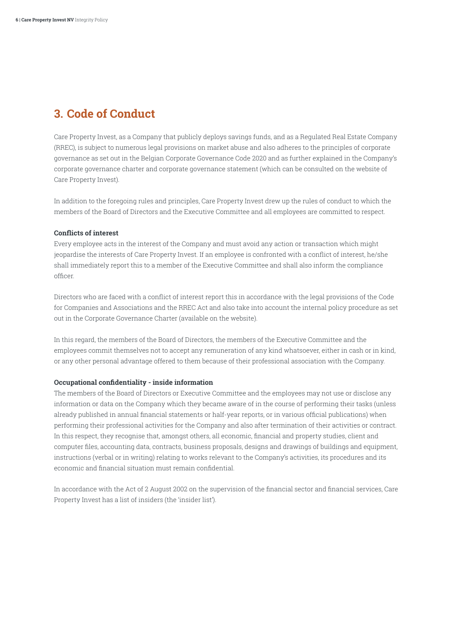# <span id="page-5-0"></span>**3. Code of Conduct**

Care Property Invest, as a Company that publicly deploys savings funds, and as a Regulated Real Estate Company (RREC), is subject to numerous legal provisions on market abuse and also adheres to the principles of corporate governance as set out in the Belgian Corporate Governance Code 2020 and as further explained in the Company's corporate governance charter and corporate governance statement (which can be consulted on the website of Care Property Invest).

In addition to the foregoing rules and principles, Care Property Invest drew up the rules of conduct to which the members of the Board of Directors and the Executive Committee and all employees are committed to respect.

### **Conflicts of interest**

Every employee acts in the interest of the Company and must avoid any action or transaction which might jeopardise the interests of Care Property Invest. If an employee is confronted with a conflict of interest, he/she shall immediately report this to a member of the Executive Committee and shall also inform the compliance officer.

Directors who are faced with a conflict of interest report this in accordance with the legal provisions of the Code for Companies and Associations and the RREC Act and also take into account the internal policy procedure as set out in the Corporate Governance Charter (available on the website).

In this regard, the members of the Board of Directors, the members of the Executive Committee and the employees commit themselves not to accept any remuneration of any kind whatsoever, either in cash or in kind, or any other personal advantage offered to them because of their professional association with the Company.

#### **Occupational confidentiality - inside information**

The members of the Board of Directors or Executive Committee and the employees may not use or disclose any information or data on the Company which they became aware of in the course of performing their tasks (unless already published in annual financial statements or half-year reports, or in various official publications) when performing their professional activities for the Company and also after termination of their activities or contract. In this respect, they recognise that, amongst others, all economic, financial and property studies, client and computer files, accounting data, contracts, business proposals, designs and drawings of buildings and equipment, instructions (verbal or in writing) relating to works relevant to the Company's activities, its procedures and its economic and financial situation must remain confidential.

In accordance with the Act of 2 August 2002 on the supervision of the financial sector and financial services, Care Property Invest has a list of insiders (the 'insider list').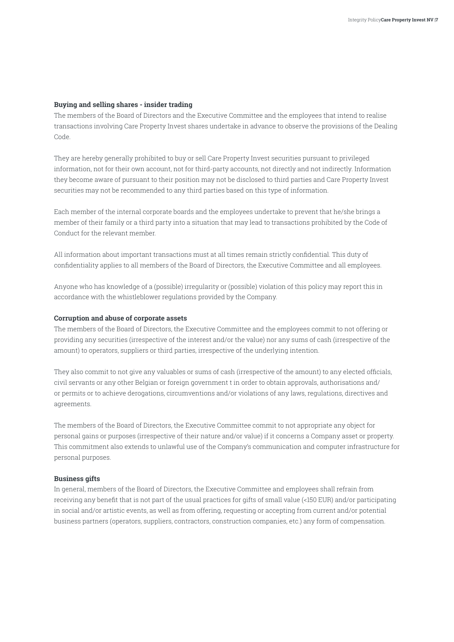### **Buying and selling shares - insider trading**

The members of the Board of Directors and the Executive Committee and the employees that intend to realise transactions involving Care Property Invest shares undertake in advance to observe the provisions of the Dealing Code.

They are hereby generally prohibited to buy or sell Care Property Invest securities pursuant to privileged information, not for their own account, not for third-party accounts, not directly and not indirectly. Information they become aware of pursuant to their position may not be disclosed to third parties and Care Property Invest securities may not be recommended to any third parties based on this type of information.

Each member of the internal corporate boards and the employees undertake to prevent that he/she brings a member of their family or a third party into a situation that may lead to transactions prohibited by the Code of Conduct for the relevant member.

All information about important transactions must at all times remain strictly confidential. This duty of confidentiality applies to all members of the Board of Directors, the Executive Committee and all employees.

Anyone who has knowledge of a (possible) irregularity or (possible) violation of this policy may report this in accordance with the whistleblower regulations provided by the Company.

#### **Corruption and abuse of corporate assets**

The members of the Board of Directors, the Executive Committee and the employees commit to not offering or providing any securities (irrespective of the interest and/or the value) nor any sums of cash (irrespective of the amount) to operators, suppliers or third parties, irrespective of the underlying intention.

They also commit to not give any valuables or sums of cash (irrespective of the amount) to any elected officials, civil servants or any other Belgian or foreign government t in order to obtain approvals, authorisations and/ or permits or to achieve derogations, circumventions and/or violations of any laws, regulations, directives and agreements.

The members of the Board of Directors, the Executive Committee commit to not appropriate any object for personal gains or purposes (irrespective of their nature and/or value) if it concerns a Company asset or property. This commitment also extends to unlawful use of the Company's communication and computer infrastructure for personal purposes.

#### **Business gifts**

In general, members of the Board of Directors, the Executive Committee and employees shall refrain from receiving any benefit that is not part of the usual practices for gifts of small value (<150 EUR) and/or participating in social and/or artistic events, as well as from offering, requesting or accepting from current and/or potential business partners (operators, suppliers, contractors, construction companies, etc.) any form of compensation.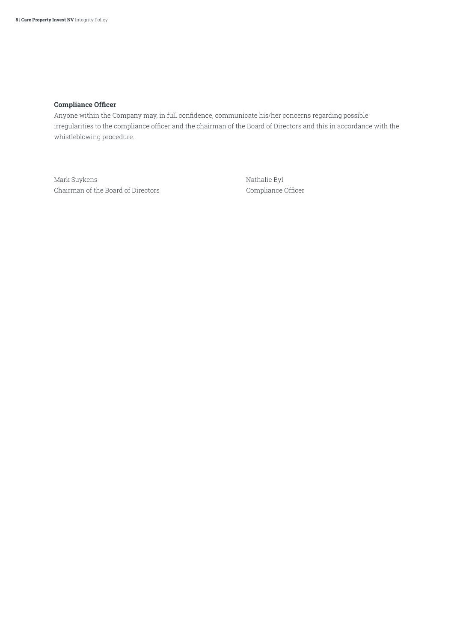## **Compliance Officer**

Anyone within the Company may, in full confidence, communicate his/her concerns regarding possible irregularities to the compliance officer and the chairman of the Board of Directors and this in accordance with the whistleblowing procedure.

Mark Suykens Nathalie Byl Chairman of the Board of Directors Compliance Officer